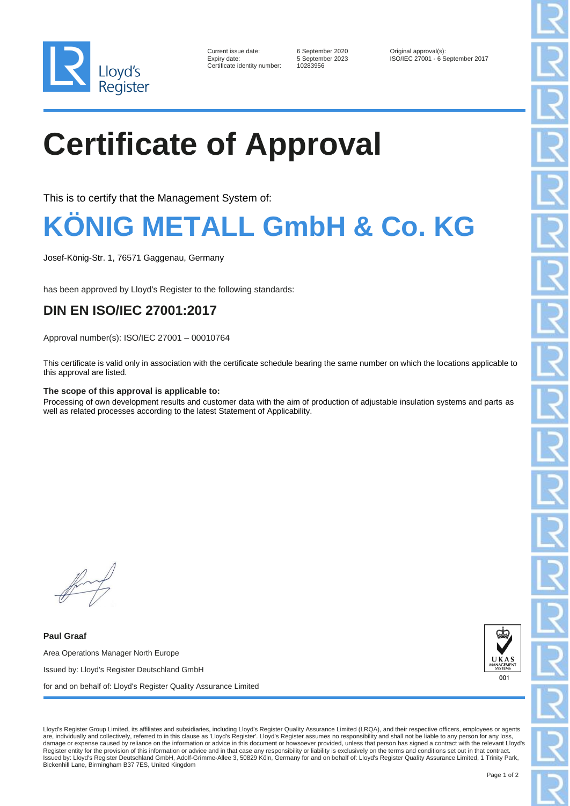

| Current issue date:        |
|----------------------------|
| Expiry date:               |
| Certificate identity numbe |

er: 10283956

6 September 2020 Original approval(s):<br>5 September 2023 ISO/IEC 27001 - 6 S ISO/IEC 27001 - 6 September 2017

# **Certificate of Approval**

This is to certify that the Management System of:

### **KÖNIG METALL GmbH & Co. KG**

Josef-König-Str. 1, 76571 Gaggenau, Germany

has been approved by Lloyd's Register to the following standards:

### **DIN EN ISO/IEC 27001:2017**

Approval number(s): ISO/IEC 27001 – 00010764

This certificate is valid only in association with the certificate schedule bearing the same number on which the locations applicable to this approval are listed.

#### **The scope of this approval is applicable to:**

Processing of own development results and customer data with the aim of production of adjustable insulation systems and parts as well as related processes according to the latest Statement of Applicability.

**Paul Graaf** Area Operations Manager North Europe Issued by: Lloyd's Register Deutschland GmbH for and on behalf of: Lloyd's Register Quality Assurance Limited



Lloyd's Register Group Limited, its affiliates and subsidiaries, including Lloyd's Register Quality Assurance Limited (LRQA), and their respective officers, employees or agents are, individually and collectively, referred to in this clause as 'Lloyd's Register'. Lloyd's Register assumes no responsibility and shall not be liable to any person for any loss, damage or expense caused by reliance on the information or advice in this document or howsoever provided, unless that person has signed a contract with the relevant Lloyd's Register entity for the provision of this information or advice and in that case any responsibility or liability is exclusively on the terms and conditions set out in that contract Issued by: Lloyd's Register Deutschland GmbH, Adolf-Grimme-Allee 3, 50829 Köln, Germany for and on behalf of: Lloyd's Register Quality Assurance Limited, 1 Trinity Park, Bickenhill Lane, Birmingham B37 7ES, United Kingdom